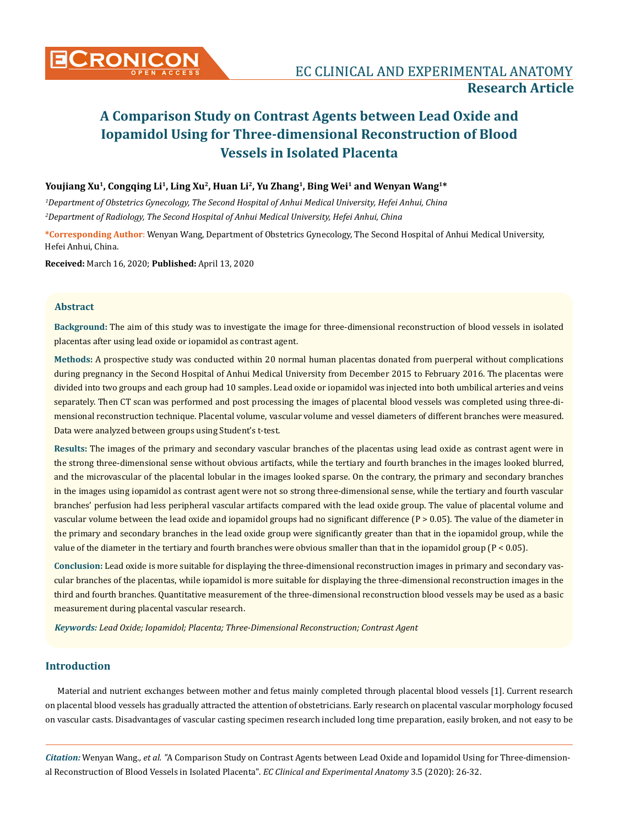# **Youjiang Xu1, Congqing Li1, Ling Xu2, Huan Li2, Yu Zhang1, Bing Wei1 and Wenyan Wang1\***

*1 Department of Obstetrics Gynecology, The Second Hospital of Anhui Medical University, Hefei Anhui, China 2 Department of Radiology, The Second Hospital of Anhui Medical University, Hefei Anhui, China*

**\*Corresponding Author**: Wenyan Wang, Department of Obstetrics Gynecology, The Second Hospital of Anhui Medical University, Hefei Anhui, China.

**Received:** March 16, 2020; **Published:** April 13, 2020

# **Abstract**

**Background:** The aim of this study was to investigate the image for three-dimensional reconstruction of blood vessels in isolated placentas after using lead oxide or iopamidol as contrast agent.

**Methods:** A prospective study was conducted within 20 normal human placentas donated from puerperal without complications during pregnancy in the Second Hospital of Anhui Medical University from December 2015 to February 2016. The placentas were divided into two groups and each group had 10 samples. Lead oxide or iopamidol was injected into both umbilical arteries and veins separately. Then CT scan was performed and post processing the images of placental blood vessels was completed using three-dimensional reconstruction technique. Placental volume, vascular volume and vessel diameters of different branches were measured. Data were analyzed between groups using Student's t-test.

**Results:** The images of the primary and secondary vascular branches of the placentas using lead oxide as contrast agent were in the strong three-dimensional sense without obvious artifacts, while the tertiary and fourth branches in the images looked blurred, and the microvascular of the placental lobular in the images looked sparse. On the contrary, the primary and secondary branches in the images using iopamidol as contrast agent were not so strong three-dimensional sense, while the tertiary and fourth vascular branches' perfusion had less peripheral vascular artifacts compared with the lead oxide group. The value of placental volume and vascular volume between the lead oxide and iopamidol groups had no significant difference (P > 0.05). The value of the diameter in the primary and secondary branches in the lead oxide group were significantly greater than that in the iopamidol group, while the value of the diameter in the tertiary and fourth branches were obvious smaller than that in the iopamidol group (P < 0.05).

**Conclusion:** Lead oxide is more suitable for displaying the three-dimensional reconstruction images in primary and secondary vascular branches of the placentas, while iopamidol is more suitable for displaying the three-dimensional reconstruction images in the third and fourth branches. Quantitative measurement of the three-dimensional reconstruction blood vessels may be used as a basic measurement during placental vascular research.

*Keywords: Lead Oxide; Iopamidol; Placenta; Three-Dimensional Reconstruction; Contrast Agent*

# **Introduction**

Material and nutrient exchanges between mother and fetus mainly completed through placental blood vessels [1]. Current research on placental blood vessels has gradually attracted the attention of obstetricians. Early research on placental vascular morphology focused on vascular casts. Disadvantages of vascular casting specimen research included long time preparation, easily broken, and not easy to be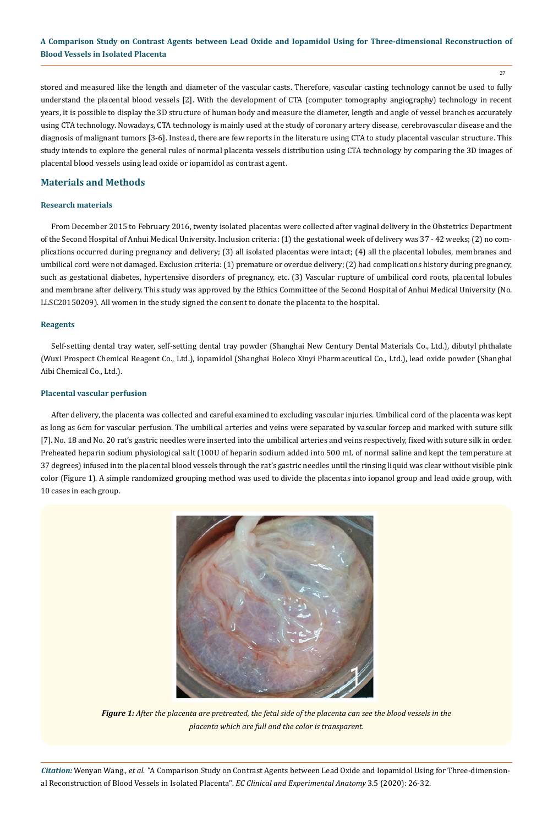27

stored and measured like the length and diameter of the vascular casts. Therefore, vascular casting technology cannot be used to fully understand the placental blood vessels [2]. With the development of CTA (computer tomography angiography) technology in recent years, it is possible to display the 3D structure of human body and measure the diameter, length and angle of vessel branches accurately using CTA technology. Nowadays, CTA technology is mainly used at the study of coronary artery disease, cerebrovascular disease and the diagnosis of malignant tumors [3-6]. Instead, there are few reports in the literature using CTA to study placental vascular structure. This study intends to explore the general rules of normal placenta vessels distribution using CTA technology by comparing the 3D images of placental blood vessels using lead oxide or iopamidol as contrast agent.

# **Materials and Methods**

## **Research materials**

From December 2015 to February 2016, twenty isolated placentas were collected after vaginal delivery in the Obstetrics Department of the Second Hospital of Anhui Medical University. Inclusion criteria: (1) the gestational week of delivery was 37 - 42 weeks; (2) no complications occurred during pregnancy and delivery; (3) all isolated placentas were intact; (4) all the placental lobules, membranes and umbilical cord were not damaged. Exclusion criteria: (1) premature or overdue delivery; (2) had complications history during pregnancy, such as gestational diabetes, hypertensive disorders of pregnancy, etc. (3) Vascular rupture of umbilical cord roots, placental lobules and membrane after delivery. This study was approved by the Ethics Committee of the Second Hospital of Anhui Medical University (No. LLSC20150209). All women in the study signed the consent to donate the placenta to the hospital.

## **Reagents**

Self-setting dental tray water, self-setting dental tray powder (Shanghai New Century Dental Materials Co., Ltd.), dibutyl phthalate (Wuxi Prospect Chemical Reagent Co., Ltd.), iopamidol (Shanghai Boleco Xinyi Pharmaceutical Co., Ltd.), lead oxide powder (Shanghai Aibi Chemical Co., Ltd.).

## **Placental vascular perfusion**

After delivery, the placenta was collected and careful examined to excluding vascular injuries. Umbilical cord of the placenta was kept as long as 6cm for vascular perfusion. The umbilical arteries and veins were separated by vascular forcep and marked with suture silk [7]. No. 18 and No. 20 rat's gastric needles were inserted into the umbilical arteries and veins respectively, fixed with suture silk in order. Preheated heparin sodium physiological salt (100U of heparin sodium added into 500 mL of normal saline and kept the temperature at 37 degrees) infused into the placental blood vessels through the rat's gastric needles until the rinsing liquid was clear without visible pink color (Figure 1). A simple randomized grouping method was used to divide the placentas into iopanol group and lead oxide group, with 10 cases in each group.



*Figure 1: After the placenta are pretreated, the fetal side of the placenta can see the blood vessels in the placenta which are full and the color is transparent.*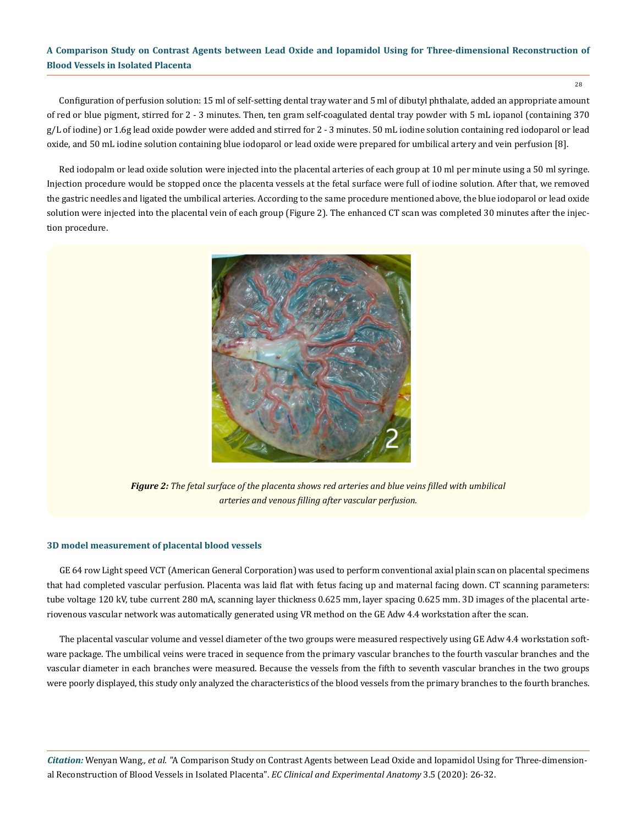28

Configuration of perfusion solution: 15 ml of self-setting dental tray water and 5 ml of dibutyl phthalate, added an appropriate amount of red or blue pigment, stirred for 2 - 3 minutes. Then, ten gram self-coagulated dental tray powder with 5 mL iopanol (containing 370 g/L of iodine) or 1.6g lead oxide powder were added and stirred for 2 - 3 minutes. 50 mL iodine solution containing red iodoparol or lead oxide, and 50 mL iodine solution containing blue iodoparol or lead oxide were prepared for umbilical artery and vein perfusion [8].

Red iodopalm or lead oxide solution were injected into the placental arteries of each group at 10 ml per minute using a 50 ml syringe. Injection procedure would be stopped once the placenta vessels at the fetal surface were full of iodine solution. After that, we removed the gastric needles and ligated the umbilical arteries. According to the same procedure mentioned above, the blue iodoparol or lead oxide solution were injected into the placental vein of each group (Figure 2). The enhanced CT scan was completed 30 minutes after the injection procedure.



*Figure 2: The fetal surface of the placenta shows red arteries and blue veins filled with umbilical arteries and venous filling after vascular perfusion.*

#### **3D model measurement of placental blood vessels**

GE 64 row Light speed VCT (American General Corporation) was used to perform conventional axial plain scan on placental specimens that had completed vascular perfusion. Placenta was laid flat with fetus facing up and maternal facing down. CT scanning parameters: tube voltage 120 kV, tube current 280 mA, scanning layer thickness 0.625 mm, layer spacing 0.625 mm. 3D images of the placental arteriovenous vascular network was automatically generated using VR method on the GE Adw 4.4 workstation after the scan.

The placental vascular volume and vessel diameter of the two groups were measured respectively using GE Adw 4.4 workstation software package. The umbilical veins were traced in sequence from the primary vascular branches to the fourth vascular branches and the vascular diameter in each branches were measured. Because the vessels from the fifth to seventh vascular branches in the two groups were poorly displayed, this study only analyzed the characteristics of the blood vessels from the primary branches to the fourth branches.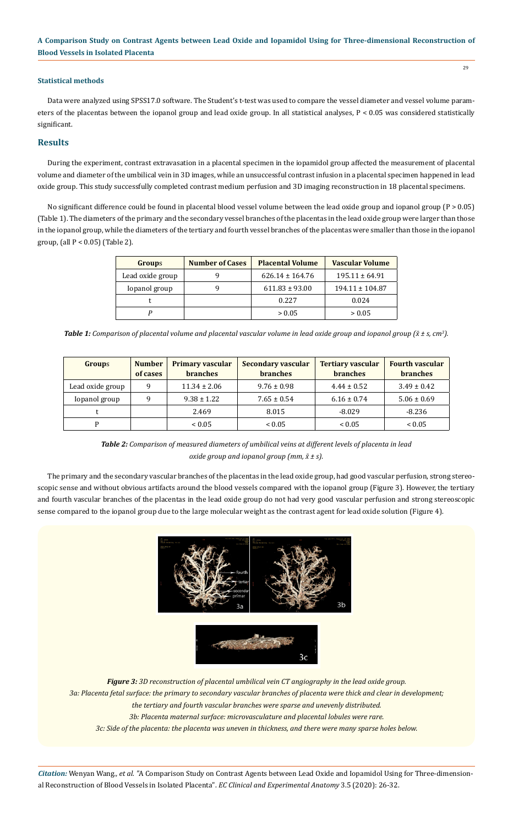## **Statistical methods**

Data were analyzed using SPSS17.0 software. The Student's t-test was used to compare the vessel diameter and vessel volume parameters of the placentas between the iopanol group and lead oxide group. In all statistical analyses, P < 0.05 was considered statistically significant.

## **Results**

During the experiment, contrast extravasation in a placental specimen in the iopamidol group affected the measurement of placental volume and diameter of the umbilical vein in 3D images, while an unsuccessful contrast infusion in a placental specimen happened in lead oxide group. This study successfully completed contrast medium perfusion and 3D imaging reconstruction in 18 placental specimens.

No significant difference could be found in placental blood vessel volume between the lead oxide group and iopanol group (P > 0.05) (Table 1). The diameters of the primary and the secondary vessel branches of the placentas in the lead oxide group were larger than those in the iopanol group, while the diameters of the tertiary and fourth vessel branches of the placentas were smaller than those in the iopanol group, (all P < 0.05) (Table 2).

| Groups           | <b>Number of Cases</b> | <b>Placental Volume</b> | <b>Vascular Volume</b> |  |
|------------------|------------------------|-------------------------|------------------------|--|
| Lead oxide group |                        | $626.14 \pm 164.76$     | $195.11 \pm 64.91$     |  |
| Iopanol group    |                        | $611.83 \pm 93.00$      | $194.11 \pm 104.87$    |  |
|                  |                        | 0.227                   | 0.024                  |  |
|                  |                        | > 0.05                  | > 0.05                 |  |

*Table 1: Comparison of placental volume and placental vascular volume in lead oxide group and iopanol group (x̄ ± s, cm3 ).*

| <b>Groups</b>    | <b>Number</b><br>of cases | <b>Primary vascular</b><br><b>branches</b> | Secondary vascular<br><b>branches</b> | <b>Tertiary vascular</b><br><b>branches</b> | <b>Fourth vascular</b><br><b>branches</b> |
|------------------|---------------------------|--------------------------------------------|---------------------------------------|---------------------------------------------|-------------------------------------------|
| Lead oxide group | q                         | $11.34 \pm 2.06$                           | $9.76 \pm 0.98$                       | $4.44 \pm 0.52$                             | $3.49 \pm 0.42$                           |
| Iopanol group    | q                         | $9.38 \pm 1.22$                            | $7.65 \pm 0.54$                       | $6.16 \pm 0.74$                             | $5.06 \pm 0.69$                           |
|                  |                           | 2.469                                      | 8.015                                 | $-8.029$                                    | $-8.236$                                  |
| D                |                           | ${}_{0.05}$                                | ${}_{0.05}$                           | ${}_{0.05}$                                 | ${}_{< 0.05}$                             |

*Table 2: Comparison of measured diameters of umbilical veins at different levels of placenta in lead oxide group and iopanol group (mm, x̄ ± s).*

The primary and the secondary vascular branches of the placentas in the lead oxide group, had good vascular perfusion, strong stereoscopic sense and without obvious artifacts around the blood vessels compared with the iopanol group (Figure 3). However, the tertiary and fourth vascular branches of the placentas in the lead oxide group do not had very good vascular perfusion and strong stereoscopic sense compared to the iopanol group due to the large molecular weight as the contrast agent for lead oxide solution (Figure 4).





*Figure 3: 3D reconstruction of placental umbilical vein CT angiography in the lead oxide group. 3a: Placenta fetal surface: the primary to secondary vascular branches of placenta were thick and clear in development; the tertiary and fourth vascular branches were sparse and unevenly distributed. 3b: Placenta maternal surface: microvasculature and placental lobules were rare.*

*3c: Side of the placenta: the placenta was uneven in thickness, and there were many sparse holes below.*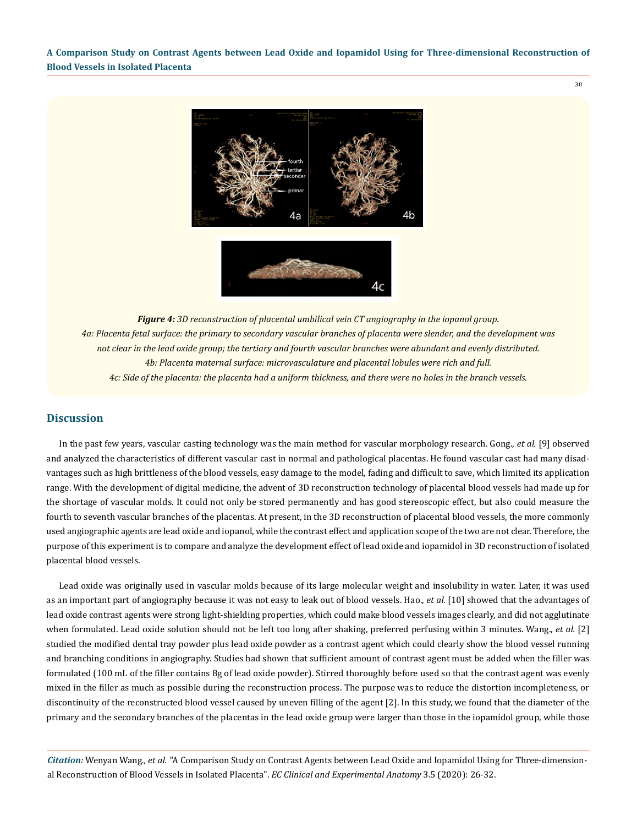30

4h ⊿а 4c

*Figure 4: 3D reconstruction of placental umbilical vein CT angiography in the iopanol group. 4a: Placenta fetal surface: the primary to secondary vascular branches of placenta were slender, and the development was not clear in the lead oxide group; the tertiary and fourth vascular branches were abundant and evenly distributed. 4b: Placenta maternal surface: microvasculature and placental lobules were rich and full. 4c: Side of the placenta: the placenta had a uniform thickness, and there were no holes in the branch vessels.*

## **Discussion**

In the past few years, vascular casting technology was the main method for vascular morphology research. Gong., *et al.* [9] observed and analyzed the characteristics of different vascular cast in normal and pathological placentas. He found vascular cast had many disadvantages such as high brittleness of the blood vessels, easy damage to the model, fading and difficult to save, which limited its application range. With the development of digital medicine, the advent of 3D reconstruction technology of placental blood vessels had made up for the shortage of vascular molds. It could not only be stored permanently and has good stereoscopic effect, but also could measure the fourth to seventh vascular branches of the placentas. At present, in the 3D reconstruction of placental blood vessels, the more commonly used angiographic agents are lead oxide and iopanol, while the contrast effect and application scope of the two are not clear. Therefore, the purpose of this experiment is to compare and analyze the development effect of lead oxide and iopamidol in 3D reconstruction of isolated placental blood vessels.

Lead oxide was originally used in vascular molds because of its large molecular weight and insolubility in water. Later, it was used as an important part of angiography because it was not easy to leak out of blood vessels. Hao., *et al.* [10] showed that the advantages of lead oxide contrast agents were strong light-shielding properties, which could make blood vessels images clearly, and did not agglutinate when formulated. Lead oxide solution should not be left too long after shaking, preferred perfusing within 3 minutes. Wang., *et al.* [2] studied the modified dental tray powder plus lead oxide powder as a contrast agent which could clearly show the blood vessel running and branching conditions in angiography. Studies had shown that sufficient amount of contrast agent must be added when the filler was formulated (100 mL of the filler contains 8g of lead oxide powder). Stirred thoroughly before used so that the contrast agent was evenly mixed in the filler as much as possible during the reconstruction process. The purpose was to reduce the distortion incompleteness, or discontinuity of the reconstructed blood vessel caused by uneven filling of the agent [2]. In this study, we found that the diameter of the primary and the secondary branches of the placentas in the lead oxide group were larger than those in the iopamidol group, while those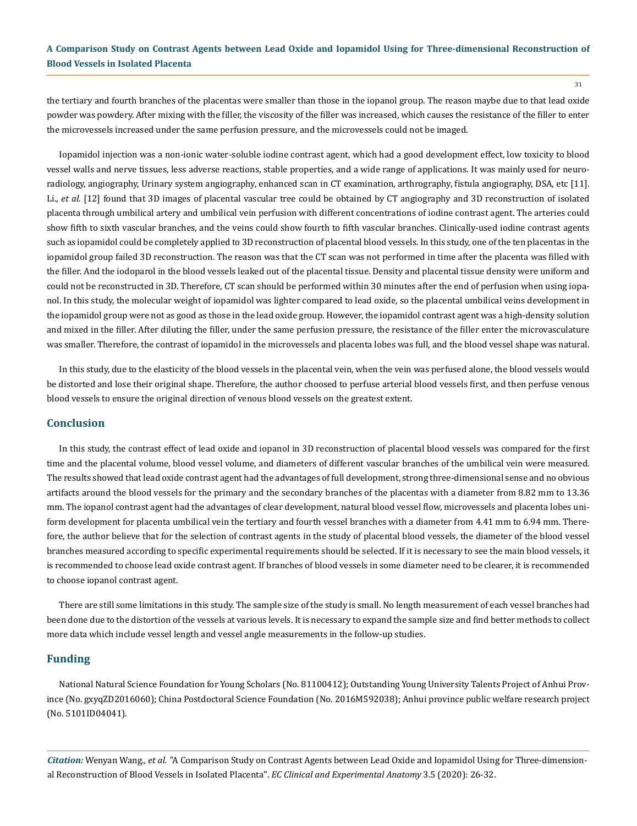the tertiary and fourth branches of the placentas were smaller than those in the iopanol group. The reason maybe due to that lead oxide powder was powdery. After mixing with the filler, the viscosity of the filler was increased, which causes the resistance of the filler to enter the microvessels increased under the same perfusion pressure, and the microvessels could not be imaged.

Iopamidol injection was a non-ionic water-soluble iodine contrast agent, which had a good development effect, low toxicity to blood vessel walls and nerve tissues, less adverse reactions, stable properties, and a wide range of applications. It was mainly used for neuroradiology, angiography, Urinary system angiography, enhanced scan in CT examination, arthrography, fistula angiography, DSA, etc [11]. Li., *et al.* [12] found that 3D images of placental vascular tree could be obtained by CT angiography and 3D reconstruction of isolated placenta through umbilical artery and umbilical vein perfusion with different concentrations of iodine contrast agent. The arteries could show fifth to sixth vascular branches, and the veins could show fourth to fifth vascular branches. Clinically-used iodine contrast agents such as iopamidol could be completely applied to 3D reconstruction of placental blood vessels. In this study, one of the ten placentas in the iopamidol group failed 3D reconstruction. The reason was that the CT scan was not performed in time after the placenta was filled with the filler. And the iodoparol in the blood vessels leaked out of the placental tissue. Density and placental tissue density were uniform and could not be reconstructed in 3D. Therefore, CT scan should be performed within 30 minutes after the end of perfusion when using iopanol. In this study, the molecular weight of iopamidol was lighter compared to lead oxide, so the placental umbilical veins development in the iopamidol group were not as good as those in the lead oxide group. However, the iopamidol contrast agent was a high-density solution and mixed in the filler. After diluting the filler, under the same perfusion pressure, the resistance of the filler enter the microvasculature was smaller. Therefore, the contrast of iopamidol in the microvessels and placenta lobes was full, and the blood vessel shape was natural.

In this study, due to the elasticity of the blood vessels in the placental vein, when the vein was perfused alone, the blood vessels would be distorted and lose their original shape. Therefore, the author choosed to perfuse arterial blood vessels first, and then perfuse venous blood vessels to ensure the original direction of venous blood vessels on the greatest extent.

## **Conclusion**

In this study, the contrast effect of lead oxide and iopanol in 3D reconstruction of placental blood vessels was compared for the first time and the placental volume, blood vessel volume, and diameters of different vascular branches of the umbilical vein were measured. The results showed that lead oxide contrast agent had the advantages of full development, strong three-dimensional sense and no obvious artifacts around the blood vessels for the primary and the secondary branches of the placentas with a diameter from 8.82 mm to 13.36 mm. The iopanol contrast agent had the advantages of clear development, natural blood vessel flow, microvessels and placenta lobes uniform development for placenta umbilical vein the tertiary and fourth vessel branches with a diameter from 4.41 mm to 6.94 mm. Therefore, the author believe that for the selection of contrast agents in the study of placental blood vessels, the diameter of the blood vessel branches measured according to specific experimental requirements should be selected. If it is necessary to see the main blood vessels, it is recommended to choose lead oxide contrast agent. If branches of blood vessels in some diameter need to be clearer, it is recommended to choose iopanol contrast agent.

There are still some limitations in this study. The sample size of the study is small. No length measurement of each vessel branches had been done due to the distortion of the vessels at various levels. It is necessary to expand the sample size and find better methods to collect more data which include vessel length and vessel angle measurements in the follow-up studies.

#### **Funding**

National Natural Science Foundation for Young Scholars (No. 81100412); Outstanding Young University Talents Project of Anhui Province (No. gxyqZD2016060); China Postdoctoral Science Foundation (No. 2016M592038); Anhui province public welfare research project (No. 5101ID04041).

*Citation:* Wenyan Wang*., et al. "*A Comparison Study on Contrast Agents between Lead Oxide and Iopamidol Using for Three-dimensional Reconstruction of Blood Vessels in Isolated Placenta". *EC Clinical and Experimental Anatomy* 3.5 (2020): 26-32.

31